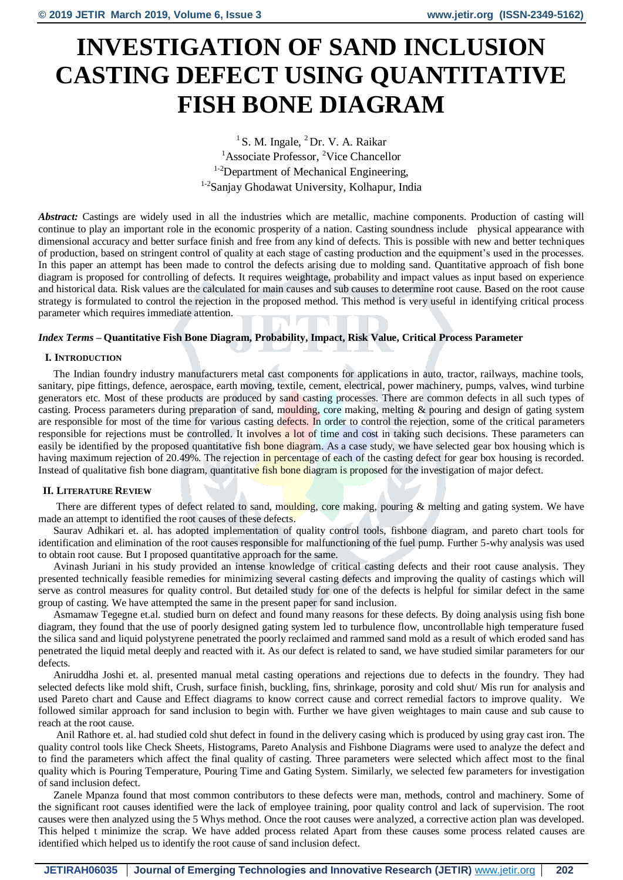# **INVESTIGATION OF SAND INCLUSION CASTING DEFECT USING QUANTITATIVE FISH BONE DIAGRAM**

<sup>1</sup> S. M. Ingale,  ${}^{2}Dr$ . V. A. Raikar <sup>1</sup>Associate Professor, <sup>2</sup>Vice Chancellor <sup>1-2</sup>Department of Mechanical Engineering, 1-2Sanjay Ghodawat University, Kolhapur, India

*Abstract:* Castings are widely used in all the industries which are metallic, machine components. Production of casting will continue to play an important role in the economic prosperity of a nation. Casting soundness include physical appearance with dimensional accuracy and better surface finish and free from any kind of defects. This is possible with new and better techniques of production, based on stringent control of quality at each stage of casting production and the equipment's used in the processes. In this paper an attempt has been made to control the defects arising due to molding sand. Quantitative approach of fish bone diagram is proposed for controlling of defects. It requires weightage, probability and impact values as input based on experience and historical data. Risk values are the calculated for main causes and sub causes to determine root cause. Based on the root cause strategy is formulated to control the rejection in the proposed method. This method is very useful in identifying critical process parameter which requires immediate attention.

# *Index Terms* **– Quantitative Fish Bone Diagram, Probability, Impact, Risk Value, Critical Process Parameter**

# **I. INTRODUCTION**

The Indian foundry industry manufacturers metal cast components for applications in auto, tractor, railways, machine tools, sanitary, pipe fittings, defence, aerospace, earth moving, textile, cement, electrical, power machinery, pumps, valves, wind turbine generators etc. Most of these products are produced by sand casting processes. There are common defects in all such types of casting. Process parameters during preparation of sand, moulding, core making, melting & pouring and design of gating system are responsible for most of the time for various casting defects. In order to control the rejection, some of the critical parameters responsible for rejections must be controlled. It involves a lot of time and cost in taking such decisions. These parameters can easily be identified by the proposed quantitative fish bone diagram. As a case study, we have selected gear box housing which is having maximum rejection of 20.49%. The rejection in percentage of each of the casting defect for gear box housing is recorded. Instead of qualitative fish bone diagram, quantitative fish bone diagram is proposed for the investigation of major defect.

# **II. LITERATURE REVIEW**

There are different types of defect related to sand, moulding, core making, pouring & melting and gating system. We have made an attempt to identified the root causes of these defects.

Saurav Adhikari et. al. has adopted implementation of quality control tools, fishbone diagram, and pareto chart tools for identification and elimination of the root causes responsible for malfunctioning of the fuel pump. Further 5-why analysis was used to obtain root cause. But I proposed quantitative approach for the same.

Avinash Juriani in his study provided an intense knowledge of critical casting defects and their root cause analysis. They presented technically feasible remedies for minimizing several casting defects and improving the quality of castings which will serve as control measures for quality control. But detailed study for one of the defects is helpful for similar defect in the same group of casting. We have attempted the same in the present paper for sand inclusion.

Asmamaw Tegegne et.al. studied burn on defect and found many reasons for these defects. By doing analysis using fish bone diagram, they found that the use of poorly designed gating system led to turbulence flow, uncontrollable high temperature fused the silica sand and liquid polystyrene penetrated the poorly reclaimed and rammed sand mold as a result of which eroded sand has penetrated the liquid metal deeply and reacted with it. As our defect is related to sand, we have studied similar parameters for our defects.

Aniruddha Joshi et. al. presented manual metal casting operations and rejections due to defects in the foundry. They had selected defects like mold shift, Crush, surface finish, buckling, fins, shrinkage, porosity and cold shut/ Mis run for analysis and used Pareto chart and Cause and Effect diagrams to know correct cause and correct remedial factors to improve quality. We followed similar approach for sand inclusion to begin with. Further we have given weightages to main cause and sub cause to reach at the root cause.

Anil Rathore et. al. had studied cold shut defect in found in the delivery casing which is produced by using gray cast iron. The quality control tools like Check Sheets, Histograms, Pareto Analysis and Fishbone Diagrams were used to analyze the defect and to find the parameters which affect the final quality of casting. Three parameters were selected which affect most to the final quality which is Pouring Temperature, Pouring Time and Gating System. Similarly, we selected few parameters for investigation of sand inclusion defect.

Zanele Mpanza found that most common contributors to these defects were man, methods, control and machinery. Some of the significant root causes identified were the lack of employee training, poor quality control and lack of supervision. The root causes were then analyzed using the 5 Whys method. Once the root causes were analyzed, a corrective action plan was developed. This helped t minimize the scrap. We have added process related Apart from these causes some process related causes are identified which helped us to identify the root cause of sand inclusion defect.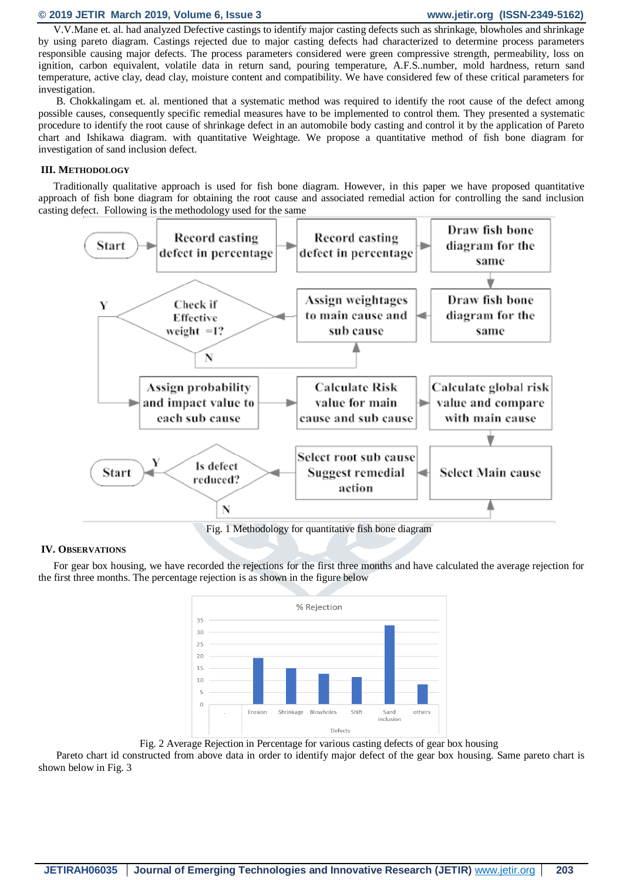# **© 2019 JETIR March 2019, Volume 6, Issue 3 www.jetir.org (ISSN-2349-5162)**

V.V.Mane et. al. had analyzed Defective castings to identify major casting defects such as shrinkage, blowholes and shrinkage by using pareto diagram. Castings rejected due to major casting defects had characterized to determine process parameters responsible causing major defects. The process parameters considered were green compressive strength, permeability, loss on ignition, carbon equivalent, volatile data in return sand, pouring temperature, A.F.S..number, mold hardness, return sand temperature, active clay, dead clay, moisture content and compatibility. We have considered few of these critical parameters for investigation.

B. Chokkalingam et. al. mentioned that a systematic method was required to identify the root cause of the defect among possible causes, consequently specific remedial measures have to be implemented to control them. They presented a systematic procedure to identify the root cause of shrinkage defect in an automobile body casting and control it by the application of Pareto chart and Ishikawa diagram. with quantitative Weightage. We propose a quantitative method of fish bone diagram for investigation of sand inclusion defect.

# **III. METHODOLOGY**

Traditionally qualitative approach is used for fish bone diagram. However, in this paper we have proposed quantitative approach of fish bone diagram for obtaining the root cause and associated remedial action for controlling the sand inclusion casting defect. Following is the methodology used for the same



# **IV. OBSERVATIONS**

For gear box housing, we have recorded the rejections for the first three months and have calculated the average rejection for the first three months. The percentage rejection is as shown in the figure below



Fig. 2 Average Rejection in Percentage for various casting defects of gear box housing

Pareto chart id constructed from above data in order to identify major defect of the gear box housing. Same pareto chart is shown below in Fig. 3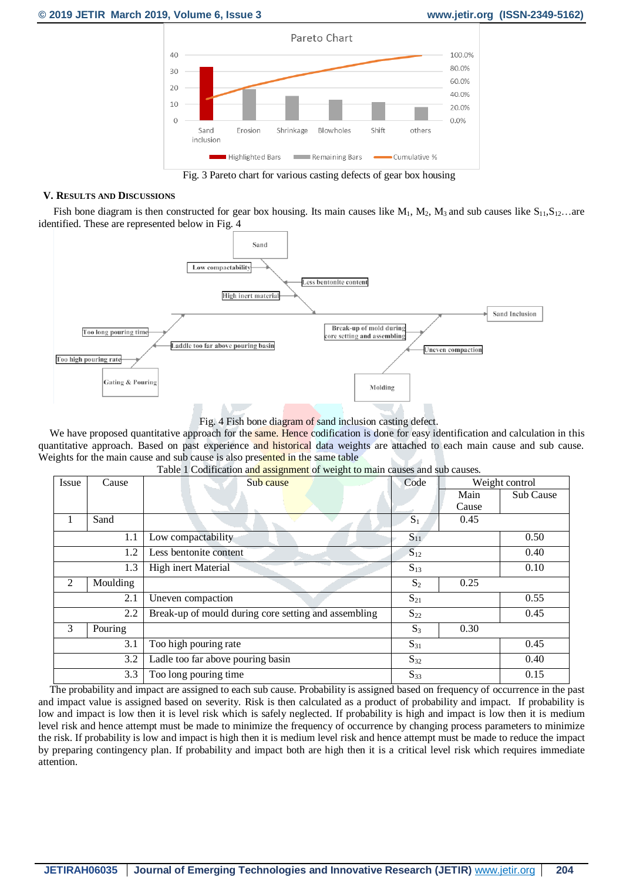

Fig. 3 Pareto chart for various casting defects of gear box housing

# **V. RESULTS AND DISCUSSIONS**

Fish bone diagram is then constructed for gear box housing. Its main causes like  $M_1$ ,  $M_2$ ,  $M_3$  and sub causes like  $S_{11}$ ,  $S_{12}$ ... are identified. These are represented below in Fig. 4



Fig. 4 Fish bone diagram of sand inclusion casting defect.

We have proposed quantitative approach for the same. Hence codification is done for easy identification and calculation in this quantitative approach. Based on past experience and historical data weights are attached to each main cause and sub cause. Weights for the main cause and sub cause is also presented in the same table

| I avic I Countication and assignment of weight to main causes and sub causes. |          |                                                      |                   |       |                |  |  |  |  |  |
|-------------------------------------------------------------------------------|----------|------------------------------------------------------|-------------------|-------|----------------|--|--|--|--|--|
| Issue                                                                         | Cause    |                                                      | Sub cause<br>Code |       | Weight control |  |  |  |  |  |
|                                                                               |          |                                                      |                   | Main  | Sub Cause      |  |  |  |  |  |
|                                                                               |          |                                                      |                   | Cause |                |  |  |  |  |  |
|                                                                               |          |                                                      |                   |       |                |  |  |  |  |  |
| 1                                                                             | Sand     |                                                      | $S_1$             | 0.45  |                |  |  |  |  |  |
| 1.1                                                                           |          | Low compactability                                   | $S_{11}$          |       | 0.50           |  |  |  |  |  |
|                                                                               | 1.2      | Less bentonite content                               | $S_{12}$          | 0.40  |                |  |  |  |  |  |
|                                                                               | 1.3      | High inert Material                                  | $S_{13}$          |       | 0.10           |  |  |  |  |  |
| 2                                                                             | Moulding |                                                      | S <sub>2</sub>    | 0.25  |                |  |  |  |  |  |
|                                                                               | 2.1      | Uneven compaction                                    | $S_{21}$          |       | 0.55           |  |  |  |  |  |
|                                                                               | 2.2      | Break-up of mould during core setting and assembling | $S_{22}$          |       | 0.45           |  |  |  |  |  |
| 3                                                                             | Pouring  |                                                      | $S_3$             | 0.30  |                |  |  |  |  |  |
|                                                                               | 3.1      | Too high pouring rate                                | $S_{31}$          |       | 0.45           |  |  |  |  |  |
| 3.2                                                                           |          | Ladle too far above pouring basin                    | $S_{32}$          |       | 0.40           |  |  |  |  |  |
| 3.3                                                                           |          | Too long pouring time                                | $S_{33}$          |       | 0.15           |  |  |  |  |  |

Table 1 Codification and assignment of weight to main causes and sub causes.

The probability and impact are assigned to each sub cause. Probability is assigned based on frequency of occurrence in the past and impact value is assigned based on severity. Risk is then calculated as a product of probability and impact. If probability is low and impact is low then it is level risk which is safely neglected. If probability is high and impact is low then it is medium level risk and hence attempt must be made to minimize the frequency of occurrence by changing process parameters to minimize the risk. If probability is low and impact is high then it is medium level risk and hence attempt must be made to reduce the impact by preparing contingency plan. If probability and impact both are high then it is a critical level risk which requires immediate attention.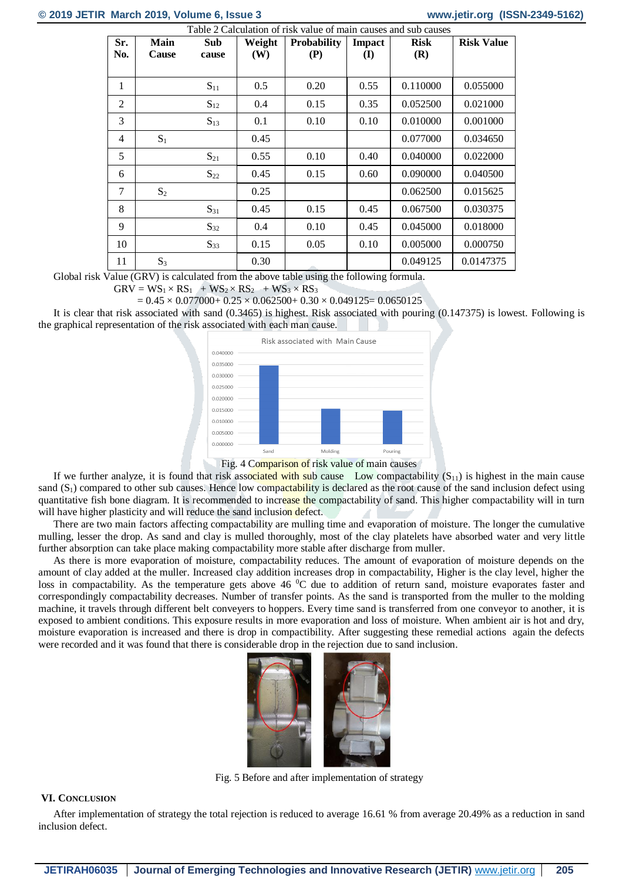# **© 2019 JETIR March 2019, Volume 6, Issue 3 www.jetir.org (ISSN-2349-5162)**

| Sr. | <b>Main</b> | <b>Sub</b> | Weight | <b>Probability</b> | <b>Impact</b> | <b>Risk</b> | <b>Risk Value</b> |
|-----|-------------|------------|--------|--------------------|---------------|-------------|-------------------|
| No. | Cause       | cause      | (W)    | (P)                | (I)           | (R)         |                   |
|     |             |            |        |                    |               |             |                   |
| 1   |             | $S_{11}$   | 0.5    | 0.20               | 0.55          | 0.110000    | 0.055000          |
| 2   |             | $S_{12}$   | 0.4    | 0.15               | 0.35          | 0.052500    | 0.021000          |
| 3   |             | $S_{13}$   | 0.1    | 0.10               | 0.10          | 0.010000    | 0.001000          |
| 4   | $S_1$       |            | 0.45   |                    |               | 0.077000    | 0.034650          |
| 5   |             | $S_{21}$   | 0.55   | 0.10               | 0.40          | 0.040000    | 0.022000          |
| 6   |             | $S_{22}$   | 0.45   | 0.15               | 0.60          | 0.090000    | 0.040500          |
| 7   | $S_2$       |            | 0.25   |                    |               | 0.062500    | 0.015625          |
| 8   |             | $S_{31}$   | 0.45   | 0.15               | 0.45          | 0.067500    | 0.030375          |
| 9   |             | $S_{32}$   | 0.4    | 0.10               | 0.45          | 0.045000    | 0.018000          |
| 10  |             | $S_{33}$   | 0.15   | 0.05               | 0.10          | 0.005000    | 0.000750          |
| 11  | $S_3$       |            | 0.30   |                    |               | 0.049125    | 0.0147375         |

Global risk Value (GRV) is calculated from the above table using the following formula.

 $GRV = WS_1 \times RS_1 + WS_2 \times RS_2 + WS_3 \times RS_3$ 

 $= 0.45 \times 0.077000 + 0.25 \times 0.062500 + 0.30 \times 0.049125 = 0.0650125$ 

It is clear that risk associated with sand (0.3465) is highest. Risk associated with pouring (0.147375) is lowest. Following is the graphical representation of the risk associated with each man cause.





If we further analyze, it is found that risk associated with sub cause Low compactability  $(S_{11})$  is highest in the main cause sand  $(S_1)$  compared to other sub causes. Hence low compactability is declared as the root cause of the sand inclusion defect using quantitative fish bone diagram. It is recommended to increase the compactability of sand. This higher compactability will in turn will have higher plasticity and will reduce the sand inclusion defect.

There are two main factors affecting compactability are mulling time and evaporation of moisture. The longer the cumulative mulling, lesser the drop. As sand and clay is mulled thoroughly, most of the clay platelets have absorbed water and very little further absorption can take place making compactability more stable after discharge from muller.

As there is more evaporation of moisture, compactability reduces. The amount of evaporation of moisture depends on the amount of clay added at the muller. Increased clay addition increases drop in compactability, Higher is the clay level, higher the loss in compactability. As the temperature gets above 46 °C due to addition of return sand, moisture evaporates faster and correspondingly compactability decreases. Number of transfer points. As the sand is transported from the muller to the molding machine, it travels through different belt conveyers to hoppers. Every time sand is transferred from one conveyor to another, it is exposed to ambient conditions. This exposure results in more evaporation and loss of moisture. When ambient air is hot and dry, moisture evaporation is increased and there is drop in compactibility. After suggesting these remedial actions again the defects were recorded and it was found that there is considerable drop in the rejection due to sand inclusion.



Fig. 5 Before and after implementation of strategy

# **VI. CONCLUSION**

After implementation of strategy the total rejection is reduced to average 16.61 % from average 20.49% as a reduction in sand inclusion defect.